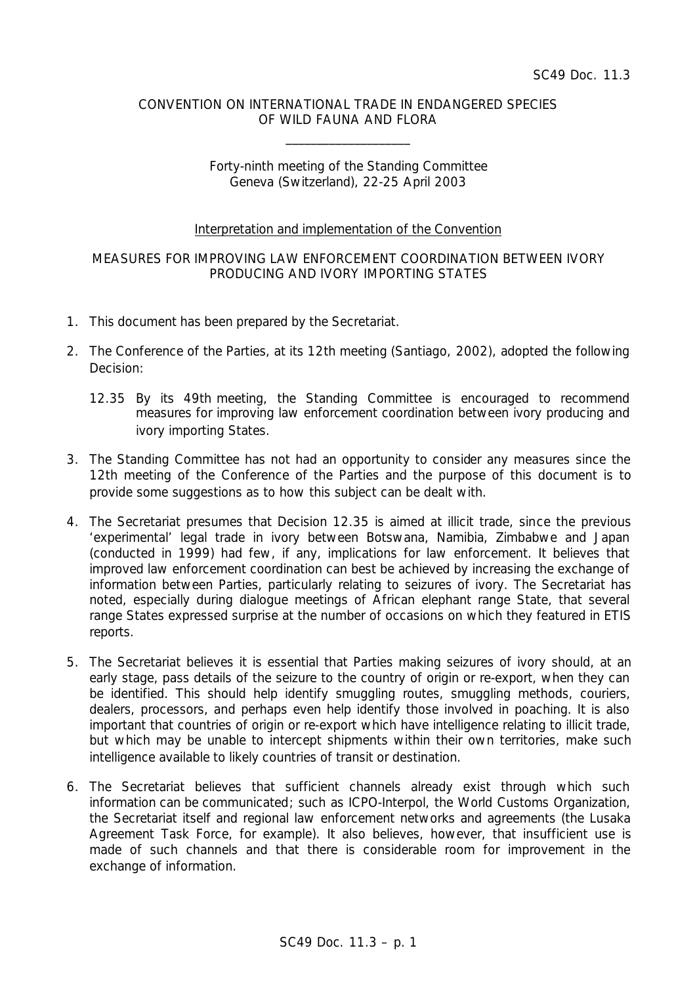### CONVENTION ON INTERNATIONAL TRADE IN ENDANGERED SPECIES OF WILD FAUNA AND FLORA

\_\_\_\_\_\_\_\_\_\_\_\_\_\_\_\_\_\_\_\_

# Forty-ninth meeting of the Standing Committee Geneva (Switzerland), 22-25 April 2003

### Interpretation and implementation of the Convention

# MEASURES FOR IMPROVING LAW ENFORCEMENT COORDINATION BETWEEN IVORY PRODUCING AND IVORY IMPORTING STATES

- 1. This document has been prepared by the Secretariat.
- 2. The Conference of the Parties, at its 12th meeting (Santiago, 2002), adopted the following Decision:
	- *12.35 By its 49th meeting, the Standing Committee is encouraged to recommend measures for improving law enforcement coordination between ivory producing and ivory importing States.*
- 3. The Standing Committee has not had an opportunity to consider any measures since the 12th meeting of the Conference of the Parties and the purpose of this document is to provide some suggestions as to how this subject can be dealt with.
- 4. The Secretariat presumes that Decision 12.35 is aimed at illicit trade, since the previous 'experimental' legal trade in ivory between Botswana, Namibia, Zimbabwe and Japan (conducted in 1999) had few, if any, implications for law enforcement. It believes that improved law enforcement coordination can best be achieved by increasing the exchange of information between Parties, particularly relating to seizures of ivory. The Secretariat has noted, especially during dialogue meetings of African elephant range State, that several range States expressed surprise at the number of occasions on which they featured in ETIS reports.
- 5. The Secretariat believes it is essential that Parties making seizures of ivory should, at an early stage, pass details of the seizure to the country of origin or re-export, when they can be identified. This should help identify smuggling routes, smuggling methods, couriers, dealers, processors, and perhaps even help identify those involved in poaching. It is also important that countries of origin or re-export which have intelligence relating to illicit trade, but which may be unable to intercept shipments within their own territories, make such intelligence available to likely countries of transit or destination.
- 6. The Secretariat believes that sufficient channels already exist through which such information can be communicated; such as ICPO-Interpol, the World Customs Organization, the Secretariat itself and regional law enforcement networks and agreements (the Lusaka Agreement Task Force, for example). It also believes, however, that insufficient use is made of such channels and that there is considerable room for improvement in the exchange of information.